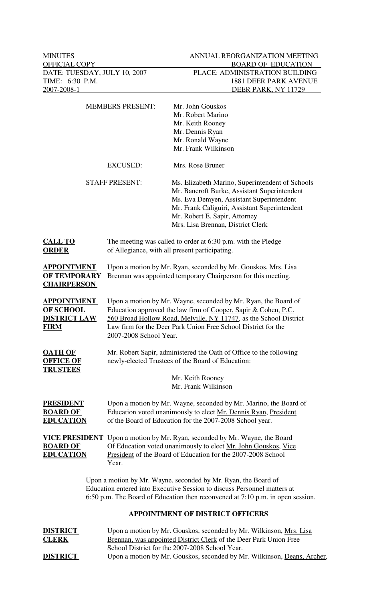| <b>MEMBERS PRESENT:</b>                                               |                                                                                                                                                                                                                                                                                                  | Mr. John Gouskos<br>Mr. Robert Marino<br>Mr. Keith Rooney<br>Mr. Dennis Ryan<br>Mr. Ronald Wayne<br>Mr. Frank Wilkinson                                                                                                                                              |
|-----------------------------------------------------------------------|--------------------------------------------------------------------------------------------------------------------------------------------------------------------------------------------------------------------------------------------------------------------------------------------------|----------------------------------------------------------------------------------------------------------------------------------------------------------------------------------------------------------------------------------------------------------------------|
|                                                                       | <b>EXCUSED:</b>                                                                                                                                                                                                                                                                                  | Mrs. Rose Bruner                                                                                                                                                                                                                                                     |
|                                                                       | <b>STAFF PRESENT:</b>                                                                                                                                                                                                                                                                            | Ms. Elizabeth Marino, Superintendent of Schools<br>Mr. Bancroft Burke, Assistant Superintendent<br>Ms. Eva Demyen, Assistant Superintendent<br>Mr. Frank Caliguiri, Assistant Superintendent<br>Mr. Robert E. Sapir, Attorney<br>Mrs. Lisa Brennan, District Clerk   |
| <b>CALL TO</b><br><b>ORDER</b>                                        | of Allegiance, with all present participating.                                                                                                                                                                                                                                                   | The meeting was called to order at 6:30 p.m. with the Pledge                                                                                                                                                                                                         |
| <b>APPOINTMENT</b><br><b>OF TEMPORARY</b><br><b>CHAIRPERSON</b>       | Upon a motion by Mr. Ryan, seconded by Mr. Gouskos, Mrs. Lisa<br>Brennan was appointed temporary Chairperson for this meeting.                                                                                                                                                                   |                                                                                                                                                                                                                                                                      |
| <b>APPOINTMENT</b><br>OF SCHOOL<br><b>DISTRICT LAW</b><br><b>FIRM</b> | Upon a motion by Mr. Wayne, seconded by Mr. Ryan, the Board of<br>Education approved the law firm of Cooper, Sapir & Cohen, P.C.<br>560 Broad Hollow Road, Melville, NY 11747, as the School District<br>Law firm for the Deer Park Union Free School District for the<br>2007-2008 School Year. |                                                                                                                                                                                                                                                                      |
| <b>OATH OF</b><br><b>OFFICE OF</b><br><b>TRUSTEES</b>                 |                                                                                                                                                                                                                                                                                                  | Mr. Robert Sapir, administered the Oath of Office to the following<br>newly-elected Trustees of the Board of Education:<br>Mr. Keith Rooney<br>Mr. Frank Wilkinson                                                                                                   |
| <b>PRESIDENT</b><br><b>BOARD OF</b><br><b>EDUCATION</b>               |                                                                                                                                                                                                                                                                                                  | Upon a motion by Mr. Wayne, seconded by Mr. Marino, the Board of<br>Education voted unanimously to elect Mr. Dennis Ryan, President<br>of the Board of Education for the 2007-2008 School year.                                                                      |
| <b>BOARD OF</b><br><b>EDUCATION</b>                                   | Year.                                                                                                                                                                                                                                                                                            | <b>VICE PRESIDENT</b> Upon a motion by Mr. Ryan, seconded by Mr. Wayne, the Board<br>Of Education voted unanimously to elect Mr. John Gouskos, Vice<br>President of the Board of Education for the 2007-2008 School                                                  |
|                                                                       |                                                                                                                                                                                                                                                                                                  | Upon a motion by Mr. Wayne, seconded by Mr. Ryan, the Board of<br>Education entered into Executive Session to discuss Personnel matters at<br>6:50 p.m. The Board of Education then reconvened at 7:10 p.m. in open session.                                         |
|                                                                       |                                                                                                                                                                                                                                                                                                  | <b>APPOINTMENT OF DISTRICT OFFICERS</b>                                                                                                                                                                                                                              |
| <b>DISTRICT</b><br><b>CLERK</b><br><b>DISTRICT</b>                    |                                                                                                                                                                                                                                                                                                  | Upon a motion by Mr. Gouskos, seconded by Mr. Wilkinson, Mrs. Lisa<br>Brennan, was appointed District Clerk of the Deer Park Union Free<br>School District for the 2007-2008 School Year.<br>Upon a motion by Mr. Gouskos, seconded by Mr. Wilkinson, Deans, Archer, |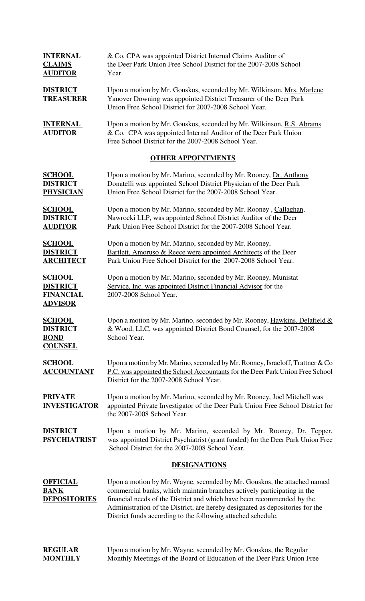| <b>INTERNAL</b>                                                        | & Co. CPA was appointed District Internal Claims Auditor of                                                                                                                                         |  |  |
|------------------------------------------------------------------------|-----------------------------------------------------------------------------------------------------------------------------------------------------------------------------------------------------|--|--|
| <b>CLAIMS</b>                                                          | the Deer Park Union Free School District for the 2007-2008 School                                                                                                                                   |  |  |
| <b>AUDITOR</b>                                                         | Year.                                                                                                                                                                                               |  |  |
| <b>DISTRICT</b><br><b>TREASURER</b>                                    | Upon a motion by Mr. Gouskos, seconded by Mr. Wilkinson, Mrs. Marlene<br>Yanover Downing was appointed District Treasurer of the Deer Park<br>Union Free School District for 2007-2008 School Year. |  |  |
| <b>INTERNAL</b><br><b>AUDITOR</b>                                      | Upon a motion by Mr. Gouskos, seconded by Mr. Wilkinson, R.S. Abrams<br>& Co. CPA was appointed Internal Auditor of the Deer Park Union<br>Free School District for the 2007-2008 School Year.      |  |  |
| <b>OTHER APPOINTMENTS</b>                                              |                                                                                                                                                                                                     |  |  |
| <b>SCHOOL</b>                                                          | Upon a motion by Mr. Marino, seconded by Mr. Rooney, Dr. Anthony                                                                                                                                    |  |  |
| <b>DISTRICT</b>                                                        | Donatelli was appointed School District Physician of the Deer Park                                                                                                                                  |  |  |
| <b>PHYSICIAN</b>                                                       | Union Free School District for the 2007-2008 School Year.                                                                                                                                           |  |  |
| <b>SCHOOL</b>                                                          | Upon a motion by Mr. Marino, seconded by Mr. Rooney, Callaghan,                                                                                                                                     |  |  |
| <b>DISTRICT</b>                                                        | Nawrocki LLP, was appointed School District Auditor of the Deer                                                                                                                                     |  |  |
| <b>AUDITOR</b>                                                         | Park Union Free School District for the 2007-2008 School Year.                                                                                                                                      |  |  |
| <b>SCHOOL</b>                                                          | Upon a motion by Mr. Marino, seconded by Mr. Rooney,                                                                                                                                                |  |  |
| <b>DISTRICT</b>                                                        | Bartlett, Amoruso & Reece were appointed Architects of the Deer                                                                                                                                     |  |  |
| <b>ARCHITECT</b>                                                       | Park Union Free School District for the 2007-2008 School Year.                                                                                                                                      |  |  |
| <b>SCHOOL</b><br><b>DISTRICT</b><br><b>FINANCIAL</b><br><b>ADVISOR</b> | Upon a motion by Mr. Marino, seconded by Mr. Rooney, Munistat<br>Service, Inc. was appointed District Financial Advisor for the<br>2007-2008 School Year.                                           |  |  |
| <b>SCHOOL</b>                                                          | Upon a motion by Mr. Marino, seconded by Mr. Rooney, Hawkins, Delafield &                                                                                                                           |  |  |
| <b>DISTRICT</b>                                                        | & Wood, LLC, was appointed District Bond Counsel, for the 2007-2008                                                                                                                                 |  |  |
| <b>BOND</b>                                                            | School Year.                                                                                                                                                                                        |  |  |

**SCHOOL** Upon a motion by Mr. Marino, seconded by Mr. Rooney, *Israeloff*, *Trattner & Co* **ACCOUNTANT** P.C. was appointed the School Accountants for the Deer Park Union Free School District for the 2007-2008 School Year.

**COUNSEL**

**PRIVATE** Upon a motion by Mr. Marino, seconded by Mr. Rooney, Joel Mitchell was **INVESTIGATOR** appointed Private Investigator of the Deer Park Union Free School District for the 2007-2008 School Year.

**DISTRICT** Upon a motion by Mr. Marino, seconded by Mr. Rooney, Dr. Tepper, **PSYCHIATRIST** was appointed District Psychiatrist (grant funded) for the Deer Park Union Free School District for the 2007-2008 School Year.

## **DESIGNATIONS**

**OFFICIAL** Upon a motion by Mr. Wayne, seconded by Mr. Gouskos, the attached named **BANK** commercial banks, which maintain branches actively participating in the **DEPOSITORIES** financial needs of the District and which have been recommended by the Administration of the District, are hereby designated as depositories for the District funds according to the following attached schedule.

| <b>REGULAR</b> | Upon a motion by Mr. Wayne, seconded by Mr. Gouskos, the Regular       |
|----------------|------------------------------------------------------------------------|
| <b>MONTHLY</b> | Monthly Meetings of the Board of Education of the Deer Park Union Free |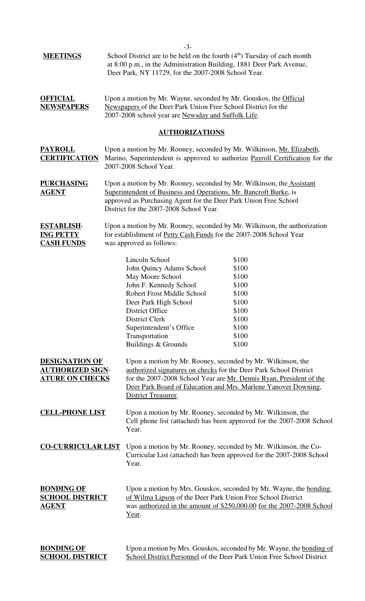| <b>MEETINGS</b>                                                            | $-3-$<br>School District are to be held on the fourth $(4th)$ Tuesday of each month<br>at 8:00 p.m., in the Administration Building, 1881 Deer Park Avenue,<br>Deer Park, NY 11729, for the 2007-2008 School Year.                                                                                                                                                        |  |  |
|----------------------------------------------------------------------------|---------------------------------------------------------------------------------------------------------------------------------------------------------------------------------------------------------------------------------------------------------------------------------------------------------------------------------------------------------------------------|--|--|
| <b>OFFICIAL</b><br><b>NEWSPAPERS</b>                                       | Upon a motion by Mr. Wayne, seconded by Mr. Gouskos, the Official<br>Newspapers of the Deer Park Union Free School District for the<br>2007-2008 school year are Newsday and Suffolk Life.                                                                                                                                                                                |  |  |
|                                                                            | <b>AUTHORIZATIONS</b>                                                                                                                                                                                                                                                                                                                                                     |  |  |
| <b>PAYROLL</b><br><b>CERTIFICATION</b>                                     | Upon a motion by Mr. Rooney, seconded by Mr. Wilkinson, <u>Mr. Elizabeth</u> ,<br>Marino, Superintendent is approved to authorize Payroll Certification for the<br>2007-2008 School Year.                                                                                                                                                                                 |  |  |
| <b>PURCHASING</b><br><u>AGENT</u>                                          | Upon a motion by Mr. Rooney, seconded by Mr. Wilkinson, the_Assistant<br>Superintendent of Business and Operations, Mr. Bancroft Burke, is<br>approved as Purchasing Agent for the Deer Park Union Free School<br>District for the 2007-2008 School Year.                                                                                                                 |  |  |
| <b>ESTABLISH-</b><br><b>ING PETTY</b><br><b>CASH FUNDS</b>                 | Upon a motion by Mr. Rooney, seconded by Mr. Wilkinson, the authorization<br>for establishment of Petty Cash Funds for the 2007-2008 School Year<br>was approved as follows:                                                                                                                                                                                              |  |  |
|                                                                            | Lincoln School<br>\$100<br>John Quincy Adams School<br>\$100<br>May Moore School<br>\$100<br>John F. Kennedy School<br>\$100<br><b>Robert Frost Middle School</b><br>\$100<br>\$100<br>Deer Park High School<br>\$100<br><b>District Office</b><br>District Clerk<br>\$100<br>Superintendent's Office<br>\$100<br>Transportation<br>\$100<br>Buildings & Grounds<br>\$100 |  |  |
| <b>DESIGNATION OF</b><br><u>AUTHORIZED SIGN-</u><br><b>ATURE ON CHECKS</b> | Upon a motion by Mr. Rooney, seconded by Mr. Wilkinson, the<br>authorized signatures on checks for the Deer Park School District<br>for the 2007-2008 School Year are Mr. Dennis Ryan, President of the<br>Deer Park Board of Education and Mrs. Marlene Yanover Downing,<br>District Treasurer.                                                                          |  |  |
| <b>CELL-PHONE LIST</b>                                                     | Upon a motion by Mr. Rooney, seconded by Mr. Wilkinson, the<br>Cell phone list (attached) has been approved for the 2007-2008 School<br>Year.                                                                                                                                                                                                                             |  |  |
| <b>CO-CURRICULAR LIST</b>                                                  | Upon a motion by Mr. Rooney, seconded by Mr. Wilkinson, the Co-<br>Curricular List (attached) has been approved for the 2007-2008 School<br>Year.                                                                                                                                                                                                                         |  |  |
| <b>BONDING OF</b><br><b>SCHOOL DISTRICT</b><br><u>AGENT</u>                | Upon a motion by Mrs. Gouskos, seconded by Mr. Wayne, the bonding<br>of Wilma Lipson of the Deer Park Union Free School District<br>was authorized in the amount of \$250,000.00 for the 2007-2008 School<br>Year.                                                                                                                                                        |  |  |
| <b>BONDING OF</b><br><b>SCHOOL DISTRICT</b>                                | Upon a motion by Mrs. Gouskos, seconded by Mr. Wayne, the bonding of<br>School District Personnel of the Deer Park Union Free School District                                                                                                                                                                                                                             |  |  |